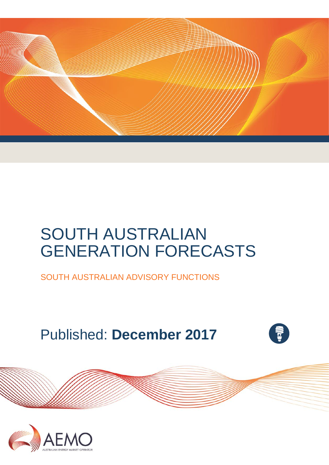

# SOUTH AUSTRALIAN GENERATION FORECASTS

SOUTH AUSTRALIAN ADVISORY FUNCTIONS

# Published: **December 2017**



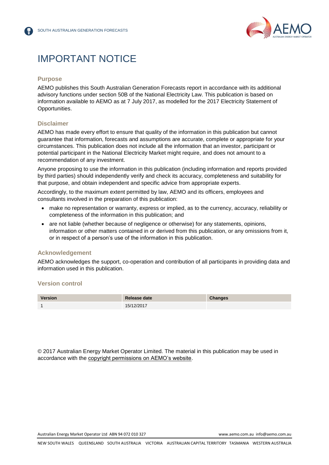

# IMPORTANT NOTICE

#### **Purpose**

AEMO publishes this South Australian Generation Forecasts report in accordance with its additional advisory functions under section 50B of the National Electricity Law. This publication is based on information available to AEMO as at 7 July 2017, as modelled for the 2017 Electricity Statement of Opportunities.

#### **Disclaimer**

AEMO has made every effort to ensure that quality of the information in this publication but cannot guarantee that information, forecasts and assumptions are accurate, complete or appropriate for your circumstances. This publication does not include all the information that an investor, participant or potential participant in the National Electricity Market might require, and does not amount to a recommendation of any investment.

Anyone proposing to use the information in this publication (including information and reports provided by third parties) should independently verify and check its accuracy, completeness and suitability for that purpose, and obtain independent and specific advice from appropriate experts.

Accordingly, to the maximum extent permitted by law, AEMO and its officers, employees and consultants involved in the preparation of this publication:

- make no representation or warranty, express or implied, as to the currency, accuracy, reliability or completeness of the information in this publication; and
- are not liable (whether because of negligence or otherwise) for any statements, opinions, information or other matters contained in or derived from this publication, or any omissions from it, or in respect of a person's use of the information in this publication.

#### **Acknowledgement**

AEMO acknowledges the support, co-operation and contribution of all participants in providing data and information used in this publication.

#### **Version control**



© 2017 Australian Energy Market Operator Limited. The material in this publication may be used in accordance with the [copyright permissions on AEMO's website.](http://aemo.com.au/Privacy_and_Legal_Notices/Copyright_Permissions_Notice)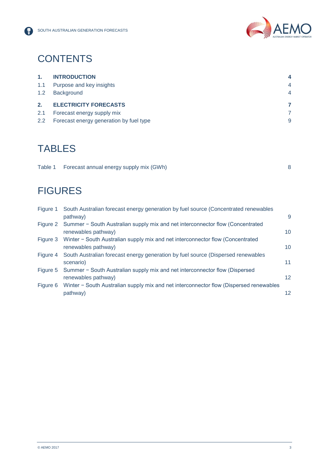

# **CONTENTS**

| 1.  | <b>INTRODUCTION</b>          |                |
|-----|------------------------------|----------------|
| 1.1 | Purpose and key insights     | $\overline{4}$ |
| 1.2 | <b>Background</b>            | 4              |
|     |                              |                |
| 2.  | <b>ELECTRICITY FORECASTS</b> |                |
| 2.1 | Forecast energy supply mix   |                |

## **TABLES**

| Table 1 Forecast annual energy supply mix (GWh) |  |
|-------------------------------------------------|--|
|                                                 |  |

# **FIGURES**

| Figure 1 | South Australian forecast energy generation by fuel source (Concentrated renewables       |                 |
|----------|-------------------------------------------------------------------------------------------|-----------------|
|          | pathway)                                                                                  | 9               |
|          | Figure 2 Summer - South Australian supply mix and net interconnector flow (Concentrated   |                 |
|          | renewables pathway)                                                                       | 10              |
|          | Figure 3 Winter - South Australian supply mix and net interconnector flow (Concentrated   |                 |
|          | renewables pathway)                                                                       | 10              |
|          | Figure 4 South Australian forecast energy generation by fuel source (Dispersed renewables |                 |
|          | scenario)                                                                                 | 11              |
| Figure 5 | Summer – South Australian supply mix and net interconnector flow (Dispersed               |                 |
|          | renewables pathway)                                                                       | 12 <sup>2</sup> |
| Figure 6 | Winter - South Australian supply mix and net interconnector flow (Dispersed renewables    |                 |
|          | pathway)                                                                                  | 12.             |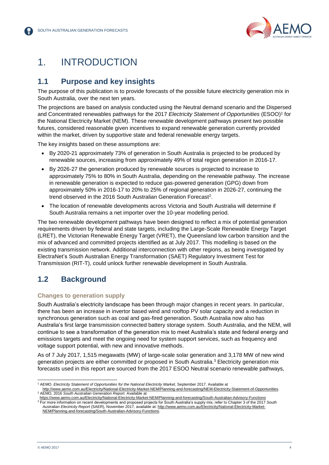

## <span id="page-3-0"></span>1. INTRODUCTION

#### <span id="page-3-1"></span>**1.1 Purpose and key insights**

The purpose of this publication is to provide forecasts of the possible future electricity generation mix in South Australia, over the next ten years.

The projections are based on analysis conducted using the Neutral demand scenario and the Dispersed and Concentrated renewables pathways for the 2017 Electricity Statement of Opportunities (ESOO)<sup>1</sup> for the National Electricity Market (NEM). These renewable development pathways present two possible futures, considered reasonable given incentives to expand renewable generation currently provided within the market, driven by supportive state and federal renewable energy targets.

The key insights based on these assumptions are:

- By 2020-21 approximately 73% of generation in South Australia is projected to be produced by renewable sources, increasing from approximately 49% of total region generation in 2016-17.
- By 2026-27 the generation produced by renewable sources is projected to increase to approximately 75% to 80% in South Australia, depending on the renewable pathway. The increase in renewable generation is expected to reduce gas-powered generation (GPG) down from approximately 50% in 2016-17 to 20% to 25% of regional generation in 2026-27, continuing the trend observed in the 2016 South Australian Generation Forecast<sup>2</sup>.
- The location of renewable developments across Victoria and South Australia will determine if South Australia remains a net importer over the 10-year modelling period.

The two renewable development pathways have been designed to reflect a mix of potential generation requirements driven by federal and state targets, including the Large-Scale Renewable Energy Target (LRET), the Victorian Renewable Energy Target (VRET), the Queensland low carbon transition and the mix of advanced and committed projects identified as at July 2017. This modelling is based on the existing transmission network. Additional interconnection with other regions, as being investigated by ElectraNet's South Australian Energy Transformation (SAET) Regulatory Investment Test for Transmission (RIT-T), could unlock further renewable development in South Australia.

#### <span id="page-3-2"></span>**1.2 Background**

#### **Changes to generation supply**

South Australia's electricity landscape has been through major changes in recent years. In particular, there has been an increase in invertor based wind and rooftop PV solar capacity and a reduction in synchronous generation such as coal and gas-fired generation. South Australia now also has Australia's first large transmission connected battery storage system. South Australia, and the NEM, will continue to see a transformation of the generation mix to meet Australia's state and federal energy and emissions targets and meet the ongoing need for system support services, such as frequency and voltage support potential, with new and innovative methods.

As of 7 July 2017, 1,515 megawatts (MW) of large-scale solar generation and 3,178 MW of new wind generation projects are either committed or proposed in South Australia. <sup>3</sup> Electricity generation mix forecasts used in this report are sourced from the 2017 ESOO Neutral scenario renewable pathways,

<sup>1</sup> AEMO. *Electricity Statement of Opportunities for the National Electricity Market*, September 2017. Available at

[http://www.aemo.com.au/Electricity/National-Electricity-Market-NEM/Planning-and-forecasting/NEM-Electricity-Statement-of-Opportunities.](http://www.aemo.com.au/Electricity/National-Electricity-Market-NEM/Planning-and-forecasting/NEM-Electricity-Statement-of-Opportunities) <sup>2</sup> AEMO, 2016 *South Australian Generation Report.* Available at

<https://www.aemo.com.au/Electricity/National-Electricity-Market-NEM/Planning-and-forecasting/South-Australian-Advisory-Functions> <sup>3</sup> For more information on recent developments and proposed projects for South Australia's supply mix, refer to Chapter 3 of the 2017 *South Australian Electricity Report* (SAER), November 2017, available at[: http://www.aemo.com.au/Electricity/National-Electricity-Market-](http://www.aemo.com.au/Electricity/National-Electricity-Market-NEM/Planning-and-forecasting/South-Australian-Advisory-Functions)[NEM/Planning-and-forecasting/South-Australian-Advisory-Functions.](http://www.aemo.com.au/Electricity/National-Electricity-Market-NEM/Planning-and-forecasting/South-Australian-Advisory-Functions)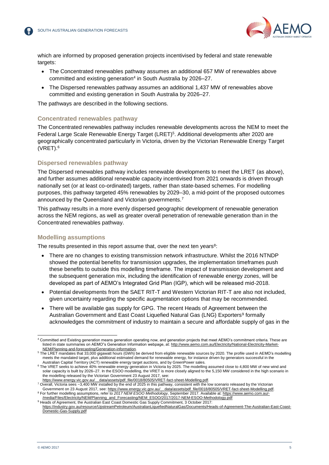

which are informed by proposed generation projects incentivised by federal and state renewable targets:

- The Concentrated renewables pathway assumes an additional 657 MW of renewables above committed and existing generation<sup>4</sup> in South Australia by 2026–27.
- The Dispersed renewables pathway assumes an additional 1,437 MW of renewables above committed and existing generation in South Australia by 2026–27.

The pathways are described in the following sections.

#### **Concentrated renewables pathway**

The Concentrated renewables pathway includes renewable developments across the NEM to meet the Federal Large Scale Renewable Energy Target (LRET)<sup>5</sup>. Additional developments after 2020 are geographically concentrated particularly in Victoria, driven by the Victorian Renewable Energy Target (VRET).<sup>6</sup>

#### **Dispersed renewables pathway**

The Dispersed renewables pathway includes renewable developments to meet the LRET (as above), and further assumes additional renewable capacity incentivised from 2021 onwards is driven through nationally set (or at least co-ordinated) targets, rather than state-based schemes. For modelling purposes, this pathway targeted 45% renewables by 2029–30, a mid-point of the proposed outcomes announced by the Queensland and Victorian governments.<sup>7</sup>

This pathway results in a more evenly dispersed geographic development of renewable generation across the NEM regions, as well as greater overall penetration of renewable generation than in the Concentrated renewables pathway.

#### **Modelling assumptions**

The results presented in this report assume that, over the next ten years<sup>8</sup>:

- There are no changes to existing transmission network infrastructure. Whilst the 2016 NTNDP showed the potential benefits for transmission upgrades, the implementation timeframes push these benefits to outside this modelling timeframe. The impact of transmission development and the subsequent generation mix, including the identification of renewable energy zones, will be developed as part of AEMO's Integrated Grid Plan (IGP), which will be released mid-2018.
- Potential developments from the SAET RIT-T and Western Victorian RIT-T are also not included, given uncertainty regarding the specific augmentation options that may be recommended.
- There will be available gas supply for GPG. The recent Heads of Agreement between the Australian Government and East Coast Liquefied Natural Gas (LNG) Exporters<sup>9</sup> formally acknowledges the commitment of industry to maintain a secure and affordable supply of gas in the

l <sup>4</sup> Committed and Existing generation means generation operating now, and generation projects that meet AEMO's commitment criteria. These are listed in state summaries on AEMO"s Generation Information webpage, at[: http://www.aemo.com.au/Electricity/National-Electricity-Market-](http://www.aemo.com.au/Electricity/National-Electricity-Market-NEM/Planning-and-forecasting/Generation-information)[NEM/Planning-and-forecasting/Generation-information.](http://www.aemo.com.au/Electricity/National-Electricity-Market-NEM/Planning-and-forecasting/Generation-information)

<sup>5</sup> The LRET mandates that 33,000 gigawatt hours (GWh) be derived from eligible renewable sources by 2020. The profile used in AEMO's modelling meets the mandated target, plus additional estimated demand for renewable energy, for instance driven by generators successful in the Australian Capital Territory (ACT) renewable energy target auctions, and by GreenPower sales.

<sup>6</sup> The VRET seeks to achieve 40% renewable energy generation in Victoria by 2025. The modelling assumed close to 4,800 MW of new wind and solar capacity is built by 2026–27. In the ESOO modelling, the VRET is more closely aligned to the 5,150 MW considered in the high scenario in the modelling released by the Victorian Government 23 August 2017, see:

[https://www.energy.vic.gov.au/\\_\\_data/assets/pdf\\_file/0018/80505/VRET-fact-sheet-Modelling.pdf.](https://www.energy.vic.gov.au/__data/assets/pdf_file/0018/80505/VRET-fact-sheet-Modelling.pdf) <sup>7</sup> Overall, Victoria sees ~3,400 MW installed by the end of 2025 in this pathway, consistent with the low scenario released by the Victorian

Government on 23 August 2017, see: https://www.energy.vic.gov.au/\_data/assets/pdf\_file/0018/80505/VRET-fact-sheet-Modelling.pdf.<br>For further modelling assumptions, refer to 2017 NEM ESOO Methodology, September 2017. Availa [/media/Files/Electricity/NEM/Planning\\_and\\_Forecasting/NEM\\_ESOO/2017/2017-NEM-ESOO-Methodology.pdf](https://www.aemo.com.au/-/media/Files/Electricity/NEM/Planning_and_Forecasting/NEM_ESOO/2017/2017-NEM-ESOO-Methodology.pdf)

<sup>&</sup>lt;sup>9</sup> Heads of Agreement, the Australian East Coast Domestic Gas Supply Commitment, 3 October 2017: [https://industry.gov.au/resource/UpstreamPetroleum/AustralianLiquefiedNaturalGas/Documents/Heads-of-Agreement-The-Australian-East-Coast-](https://industry.gov.au/resource/UpstreamPetroleum/AustralianLiquefiedNaturalGas/Documents/Heads-of-Agreement-The-Australian-East-Coast-Domestic-Gas-Supply.pdf)[Domestic-Gas-Supply.pdf](https://industry.gov.au/resource/UpstreamPetroleum/AustralianLiquefiedNaturalGas/Documents/Heads-of-Agreement-The-Australian-East-Coast-Domestic-Gas-Supply.pdf)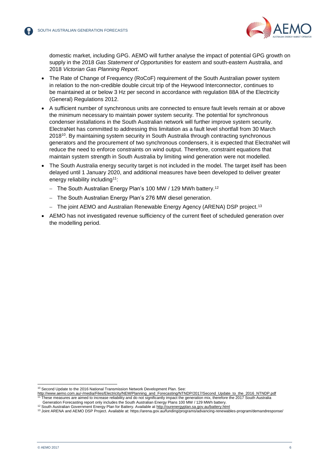

domestic market, including GPG. AEMO will further analyse the impact of potential GPG growth on supply in the 2018 *Gas Statement of Opportunities* for eastern and south-eastern Australia, and 2018 *Victorian Gas Planning Report*.

- The Rate of Change of Frequency (RoCoF) requirement of the South Australian power system in relation to the non-credible double circuit trip of the Heywood Interconnector, continues to be maintained at or below 3 Hz per second in accordance with regulation 88A of the Electricity (General) Regulations 2012.
- A sufficient number of synchronous units are connected to ensure fault levels remain at or above the minimum necessary to maintain power system security. The potential for synchronous condenser installations in the South Australian network will further improve system security. ElectraNet has committed to addressing this limitation as a fault level shortfall from 30 March 2018<sup>10</sup> . By maintaining system security in South Australia through contracting synchronous generators and the procurement of two synchronous condensers, it is expected that ElectraNet will reduce the need to enforce constraints on wind output. Therefore, constraint equations that maintain system strength in South Australia by limiting wind generation were not modelled.
- The South Australia energy security target is not included in the model. The target itself has been delayed until 1 January 2020, and additional measures have been developed to deliver greater energy reliability including<sup>11</sup>:
	- The South Australian Energy Plan's 100 MW / 129 MWh battery.<sup>12</sup>
	- The South Australian Energy Plan's 276 MW diesel generation.
	- The joint AEMO and Australian Renewable Energy Agency (ARENA) DSP project.<sup>13</sup>
- AEMO has not investigated revenue sufficiency of the current fleet of scheduled generation over the modelling period.

<sup>&</sup>lt;sup>10</sup> Second Update to the 2016 National Transmission Network Development Plan. See:

[http://www.aemo.com.au/-/media/Files/Electricity/NEM/Planning\\_and\\_Forecasting/NTNDP/2017/Second\\_Update\\_to\\_the\\_2016\\_NTNDP.pdf](http://www.aemo.com.au/-/media/Files/Electricity/NEM/Planning_and_Forecasting/NTNDP/2017/Second_Update_to_the_2016_NTNDP.pdf)<br><sup>11</sup> These measures are aimed to increase reliability and do not significantly impact the generat Generation Forecasting report only includes the South Australian Energy Plans 100 MW / 129 MWh battery.

<sup>&</sup>lt;sup>12</sup> South Australian Government Energy Plan for Battery. Available a[t http://ourenergyplan.sa.gov.au/battery.html](http://ourenergyplan.sa.gov.au/battery.html)

<sup>13</sup> Joint ARENA and AEMO DSP Project. Available at: https://arena.gov.au/funding/programs/advancing-renewables-program/demandresponse/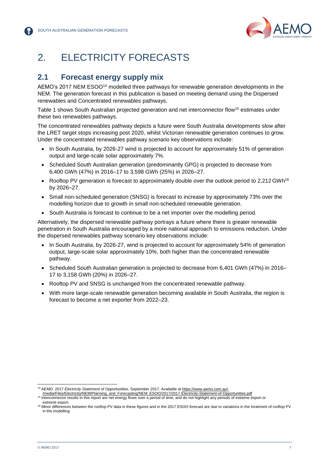

# <span id="page-6-0"></span>2. ELECTRICITY FORECASTS

#### <span id="page-6-1"></span>**2.1 Forecast energy supply mix**

AEMO's 2017 NEM ESOO<sup>14</sup> modelled three pathways for renewable generation developments in the NEM. The generation forecast in this publication is based on meeting demand using the Dispersed renewables and Concentrated renewables pathways.

Table 1 shows South Australian projected generation and net interconnector flow<sup>15</sup> estimates under these two renewables pathways.

The concentrated renewables pathway depicts a future were South Australia developments slow after the LRET target stops increasing post 2020, whilst Victorian renewable generation continues to grow. Under the concentrated renewables pathway scenario key observations include:

- In South Australia, by 2026-27 wind is projected to account for approximately 51% of generation output and large-scale solar approximately 7%.
- Scheduled South Australian generation (predominantly GPG) is projected to decrease from 6,400 GWh (47%) in 2016–17 to 3,598 GWh (25%) in 2026–27.
- Rooftop PV generation is forecast to approximately double over the outlook period to 2,212 GWh<sup>16</sup> by 2026–27.
- Small non-scheduled generation (SNSG) is forecast to increase by approximately 73% over the modelling horizon due to growth in small non-scheduled renewable generation.
- South Australia is forecast to continue to be a net importer over the modelling period.

Alternatively, the dispersed renewable pathway portrays a future where there is greater renewable penetration in South Australia encouraged by a more national approach to emissions reduction. Under the dispersed renewables pathway scenario key observations include:

- In South Australia, by 2026-27, wind is projected to account for approximately 54% of generation output, large-scale solar approximately 10%, both higher than the concentrated renewable pathway.
- Scheduled South Australian generation is projected to decrease from 6,401 GWh (47%) in 2016– 17 to 3,158 GWh (20%) in 2026–27.
- Rooftop PV and SNSG is unchanged from the concentrated renewable pathway.
- With more large-scale renewable generation becoming available in South Australia, the region is forecast to become a net exporter from 2022–23.

l <sup>14</sup> AEMO. 2017 *Electricity Statement of Opportunities,* September 2017*.* Available at [https://www.aemo.com.au/-](https://www.aemo.com.au/-/media/Files/Electricity/NEM/Planning_and_Forecasting/NEM_ESOO/2017/2017-Electricity-Statement-of-Opportunities.pdf)

[<sup>/</sup>media/Files/Electricity/NEM/Planning\\_and\\_Forecasting/NEM\\_ESOO/2017/2017-Electricity-Statement-of-Opportunities.pdf](https://www.aemo.com.au/-/media/Files/Electricity/NEM/Planning_and_Forecasting/NEM_ESOO/2017/2017-Electricity-Statement-of-Opportunities.pdf)

<sup>&</sup>lt;sup>15</sup> Interconnector results in this report are net energy flows over a period of time, and do not highlight any periods of extreme import or extreme export.

<sup>16</sup> Minor differences between the rooftop PV data in these figures and in the 2017 ESOO forecast are due to variations in the treatment of rooftop PV in the modelling.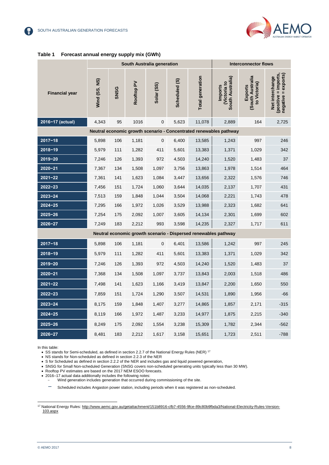

<span id="page-7-0"></span>

|  | Table 1 Forecast annual energy supply mix (GWh) |
|--|-------------------------------------------------|
|--|-------------------------------------------------|

|                       | South Australia generation |             |            |             |               | <b>Interconnector flows</b>                                     |                                                                    |                                            |                                                                |
|-----------------------|----------------------------|-------------|------------|-------------|---------------|-----------------------------------------------------------------|--------------------------------------------------------------------|--------------------------------------------|----------------------------------------------------------------|
| <b>Financial year</b> | Wind (SS, NS)              | <b>SNSG</b> | Rooftop PV | Solar (SS)  | Scheduled (S) | <b>Total generation</b>                                         | South Australia)<br><b>Wictoria to</b><br>Imports                  | South Australia<br>to Victoria)<br>Exports | (positive = imports,<br>negative = exports)<br>Net interchange |
| 2016-17 (actual)      | 4,343                      | 95          | 1016       | $\mathbf 0$ | 5,623         | 11,078                                                          | 2,889                                                              | 164                                        | 2,725                                                          |
|                       |                            |             |            |             |               |                                                                 | Neutral economic growth scenario - Concentrated renewables pathway |                                            |                                                                |
| $2017 - 18$           | 5,898                      | 106         | 1,181      | 0           | 6,400         | 13,585                                                          | 1,243                                                              | 997                                        | 246                                                            |
| $2018 - 19$           | 5,979                      | 111         | 1,282      | 411         | 5,601         | 13,383                                                          | 1,371                                                              | 1,029                                      | 342                                                            |
| $2019 - 20$           | 7,246                      | 126         | 1,393      | 972         | 4,503         | 14,240                                                          | 1,520                                                              | 1,483                                      | 37                                                             |
| $2020 - 21$           | 7,367                      | 134         | 1,508      | 1,097       | 3,756         | 13,863                                                          | 1,978                                                              | 1,514                                      | 464                                                            |
| $2021 - 22$           | 7,361                      | 141         | 1,623      | 1,084       | 3,447         | 13,656                                                          | 2,322                                                              | 1,576                                      | 746                                                            |
| $2022 - 23$           | 7,456                      | 151         | 1,724      | 1,060       | 3,644         | 14,035                                                          | 2,137                                                              | 1,707                                      | 431                                                            |
| $2023 - 24$           | 7,513                      | 159         | 1,848      | 1,044       | 3,504         | 14,068                                                          | 2,221                                                              | 1,743                                      | 478                                                            |
| $2024 - 25$           | 7,295                      | 166         | 1,972      | 1,026       | 3,529         | 13,988                                                          | 2,323                                                              | 1,682                                      | 641                                                            |
| $2025 - 26$           | 7,254                      | 175         | 2,092      | 1,007       | 3,605         | 14,134                                                          | 2,301                                                              | 1,699                                      | 602                                                            |
| $2026 - 27$           | 7,249                      | 183         | 2,212      | 993         | 3,598         | 14,235                                                          | 2,327                                                              | 1,717                                      | 611                                                            |
|                       |                            |             |            |             |               | Neutral economic growth scenario - Dispersed renewables pathway |                                                                    |                                            |                                                                |
| $2017 - 18$           | 5,898                      | 106         | 1,181      | 0           | 6,401         | 13,586                                                          | 1,242                                                              | 997                                        | 245                                                            |
| $2018 - 19$           | 5,979                      | 111         | 1,282      | 411         | 5,601         | 13,383                                                          | 1,371                                                              | 1,029                                      | 342                                                            |
| $2019 - 20$           | 7,246                      | 126         | 1,393      | 972         | 4,503         | 14,240                                                          | 1,520                                                              | 1,483                                      | 37                                                             |
| $2020 - 21$           | 7,368                      | 134         | 1,508      | 1,097       | 3,737         | 13,843                                                          | 2,003                                                              | 1,518                                      | 486                                                            |
| $2021 - 22$           | 7,498                      | 141         | 1,623      | 1,166       | 3,419         | 13,847                                                          | 2,200                                                              | 1,650                                      | 550                                                            |
| $2022 - 23$           | 7,859                      | 151         | 1,724      | 1,290       | 3,507         | 14,531                                                          | 1,890                                                              | 1,956                                      | $-66$                                                          |
| $2023 - 24$           | 8,175                      | 159         | 1,848      | 1,407       | 3,277         | 14,865                                                          | 1,857                                                              | 2,171                                      | $-315$                                                         |
| $2024 - 25$           | 8,119                      | 166         | 1,972      | 1,487       | 3,233         | 14,977                                                          | 1,875                                                              | 2,215                                      | $-340$                                                         |
| $2025 - 26$           | 8,249                      | 175         | 2,092      | 1,554       | 3,238         | 15,309                                                          | 1,782                                                              | 2,344                                      | $-562$                                                         |
| $2026 - 27$           | 8,481                      | 183         | 2,212      | 1,617       | 3,158         | 15,651                                                          | 1,723                                                              | 2,511                                      | $-788$                                                         |

In this table:

• SS stands for Semi-scheduled, as defined in section 2.2.7 of the National Energy Rules (NER) <sup>17</sup>

• NS stands for Non-scheduled as defined in section 2.2.3 of the NER

• No stands for North Bondoards as defined in section 2.2.2 of the NER and includes gas and liquid powered generation,

• SNSG for Small Non-scheduled Generation (SNSG covers non-scheduled generating units typically less than 30 MW).

• Rooftop PV estimates are based on the 2017 NEM ESOO forecasts.

• 2016–17 actual data additionally includes the following notes:

- Wind generation includes generation that occurred during commissioning of the site.

- Scheduled includes Angaston power station, including periods when it was registered as non-scheduled.

<sup>17</sup> National Energy Rules[: http://www.aemc.gov.au/getattachment/151b8916-cfb7-4556-9fce-89c80b9fbda3/National-Electricity-Rules-Version-](http://www.aemc.gov.au/getattachment/151b8916-cfb7-4556-9fce-89c80b9fbda3/National-Electricity-Rules-Version-103.aspx)[103.aspx](http://www.aemc.gov.au/getattachment/151b8916-cfb7-4556-9fce-89c80b9fbda3/National-Electricity-Rules-Version-103.aspx)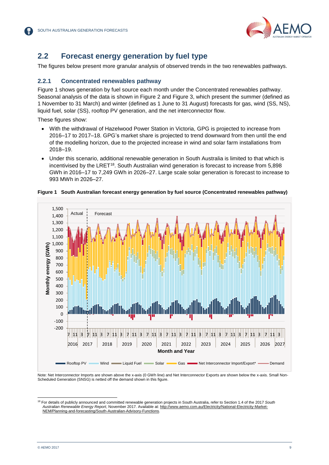

### <span id="page-8-0"></span>**2.2 Forecast energy generation by fuel type**

The figures below present more granular analysis of observed trends in the two renewables pathways.

#### **2.2.1 Concentrated renewables pathway**

Figure 1 shows generation by fuel source each month under the Concentrated renewables pathway. Seasonal analysis of the data is shown in Figure 2 and Figure 3, which present the summer (defined as 1 November to 31 March) and winter (defined as 1 June to 31 August) forecasts for gas, wind (SS, NS), liquid fuel, solar (SS), rooftop PV generation, and the net interconnector flow.

These figures show:

- With the withdrawal of Hazelwood Power Station in Victoria, GPG is projected to increase from 2016–17 to 2017–18. GPG's market share is projected to trend downward from then until the end of the modelling horizon, due to the projected increase in wind and solar farm installations from 2018–19.
- Under this scenario, additional renewable generation in South Australia is limited to that which is incentivised by the LRET<sup>18</sup>. South Australian wind generation is forecast to increase from 5,898 GWh in 2016–17 to 7,249 GWh in 2026–27. Large scale solar generation is forecast to increase to 993 MWh in 2026–27.



#### <span id="page-8-1"></span>**Figure 1 South Australian forecast energy generation by fuel source (Concentrated renewables pathway)**

Note: Net Interconnector Imports are shown above the x-axis (0 GWh line) and Net Interconnector Exports are shown below the x-axis. Small Non-Scheduled Generation (SNSG) is netted off the demand shown in this figure.

<sup>18</sup> For details of publicly announced and committed renewable generation projects in South Australia, refer to Section 1.4 of the 2017 *South Australian Renewable Energy Report*, November 2017. Available at: [http://www.aemo.com.au/Electricity/National-Electricity-Market-](http://www.aemo.com.au/Electricity/National-Electricity-Market-NEM/Planning-and-forecasting/South-Australian-Advisory-Functions)[NEM/Planning-and-forecasting/South-Australian-Advisory-Functions.](http://www.aemo.com.au/Electricity/National-Electricity-Market-NEM/Planning-and-forecasting/South-Australian-Advisory-Functions)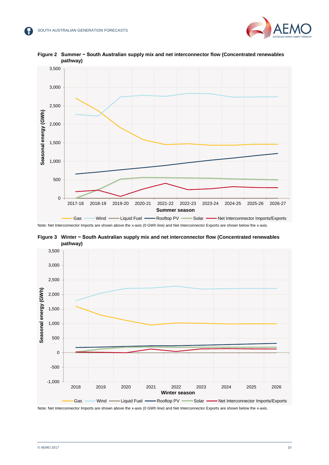



<span id="page-9-0"></span>**Figure 2 Summer − South Australian supply mix and net interconnector flow (Concentrated renewables pathway)**

Note: Net Interconnector Imports are shown above the x-axis (0 GWh line) and Net Interconnector Exports are shown below the x-axis.

<span id="page-9-1"></span>**Figure 3 Winter − South Australian supply mix and net interconnector flow (Concentrated renewables pathway)**



Note: Net Interconnector Imports are shown above the x-axis (0 GWh line) and Net Interconnector Exports are shown below the x-axis.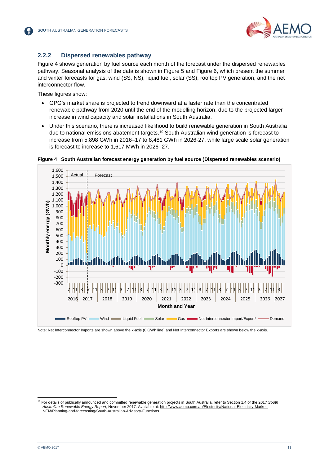#### **2.2.2 Dispersed renewables pathway**

Figure 4 shows generation by fuel source each month of the forecast under the dispersed renewables pathway. Seasonal analysis of the data is shown in Figure 5 and Figure 6, which present the summer and winter forecasts for gas, wind (SS, NS), liquid fuel, solar (SS), rooftop PV generation, and the net interconnector flow.

These figures show:

- GPG's market share is projected to trend downward at a faster rate than the concentrated renewable pathway from 2020 until the end of the modelling horizon, due to the projected larger increase in wind capacity and solar installations in South Australia.
- Under this scenario, there is increased likelihood to build renewable generation in South Australia due to national emissions abatement targets.<sup>19</sup> South Australian wind generation is forecast to increase from 5,898 GWh in 2016–17 to 8,481 GWh in 2026-27, while large scale solar generation is forecast to increase to 1,617 MWh in 2026–27.



<span id="page-10-0"></span>**Figure 4 South Australian forecast energy generation by fuel source (Dispersed renewables scenario)**

Note: Net Interconnector Imports are shown above the x-axis (0 GWh line) and Net Interconnector Exports are shown below the x-axis.

l <sup>19</sup> For details of publically announced and committed renewable generation projects in South Australia, refer to Section 1.4 of the 2017 *South Australian Renewable Energy Report*, November 2017. Available at: [http://www.aemo.com.au/Electricity/National-Electricity-Market-](http://www.aemo.com.au/Electricity/National-Electricity-Market-NEM/Planning-and-forecasting/South-Australian-Advisory-Functions)[NEM/Planning-and-forecasting/South-Australian-Advisory-Functions.](http://www.aemo.com.au/Electricity/National-Electricity-Market-NEM/Planning-and-forecasting/South-Australian-Advisory-Functions)